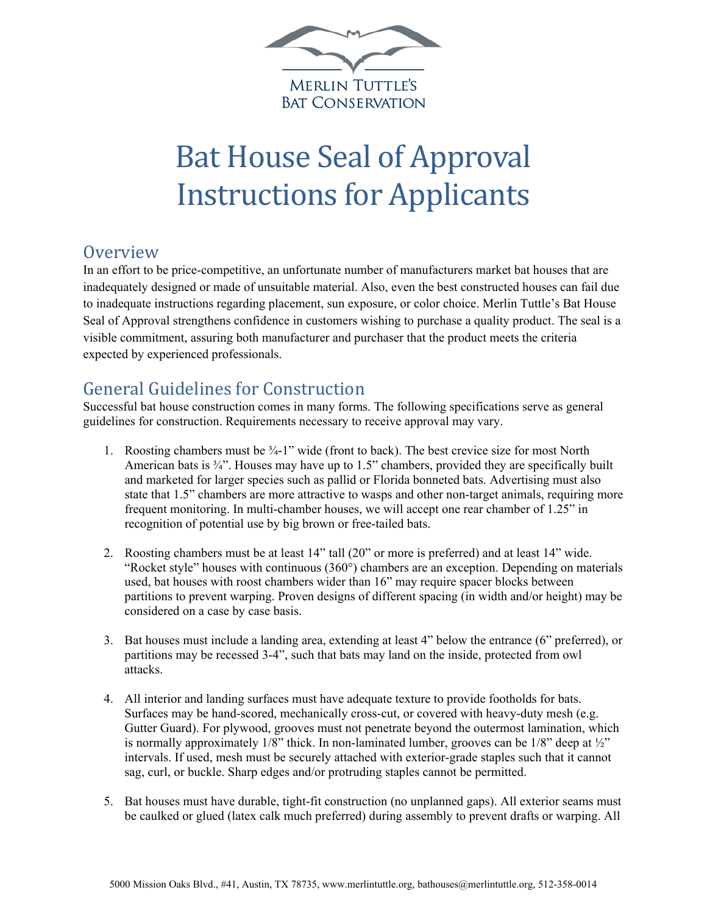

## Bat House Seal of Approval Instructions for Applicants

## **Overview**

In an effort to be price-competitive, an unfortunate number of manufacturers market bat houses that are inadequately designed or made of unsuitable material. Also, even the best constructed houses can fail due to inadequate instructions regarding placement, sun exposure, or color choice. Merlin Tuttle's Bat House Seal of Approval strengthens confidence in customers wishing to purchase a quality product. The seal is a visible commitment, assuring both manufacturer and purchaser that the product meets the criteria expected by experienced professionals.

## General Guidelines for Construction

Successful bat house construction comes in many forms. The following specifications serve as general guidelines for construction. Requirements necessary to receive approval may vary.

- 1. Roosting chambers must be ¾-1" wide (front to back). The best crevice size for most North American bats is  $\frac{3}{4}$ . Houses may have up to 1.5" chambers, provided they are specifically built and marketed for larger species such as pallid or Florida bonneted bats. Advertising must also state that 1.5" chambers are more attractive to wasps and other non-target animals, requiring more frequent monitoring. In multi-chamber houses, we will accept one rear chamber of 1.25" in recognition of potential use by big brown or free-tailed bats.
- 2. Roosting chambers must be at least 14" tall (20" or more is preferred) and at least 14" wide. "Rocket style" houses with continuous (360°) chambers are an exception. Depending on materials used, bat houses with roost chambers wider than 16" may require spacer blocks between partitions to prevent warping. Proven designs of different spacing (in width and/or height) may be considered on a case by case basis.
- 3. Bat houses must include a landing area, extending at least 4" below the entrance (6" preferred), or partitions may be recessed 3-4", such that bats may land on the inside, protected from owl attacks.
- 4. All interior and landing surfaces must have adequate texture to provide footholds for bats. Surfaces may be hand-scored, mechanically cross-cut, or covered with heavy-duty mesh (e.g. Gutter Guard). For plywood, grooves must not penetrate beyond the outermost lamination, which is normally approximately  $1/8$ " thick. In non-laminated lumber, grooves can be  $1/8$ " deep at  $\frac{1}{2}$ " intervals. If used, mesh must be securely attached with exterior-grade staples such that it cannot sag, curl, or buckle. Sharp edges and/or protruding staples cannot be permitted.
- 5. Bat houses must have durable, tight-fit construction (no unplanned gaps). All exterior seams must be caulked or glued (latex calk much preferred) during assembly to prevent drafts or warping. All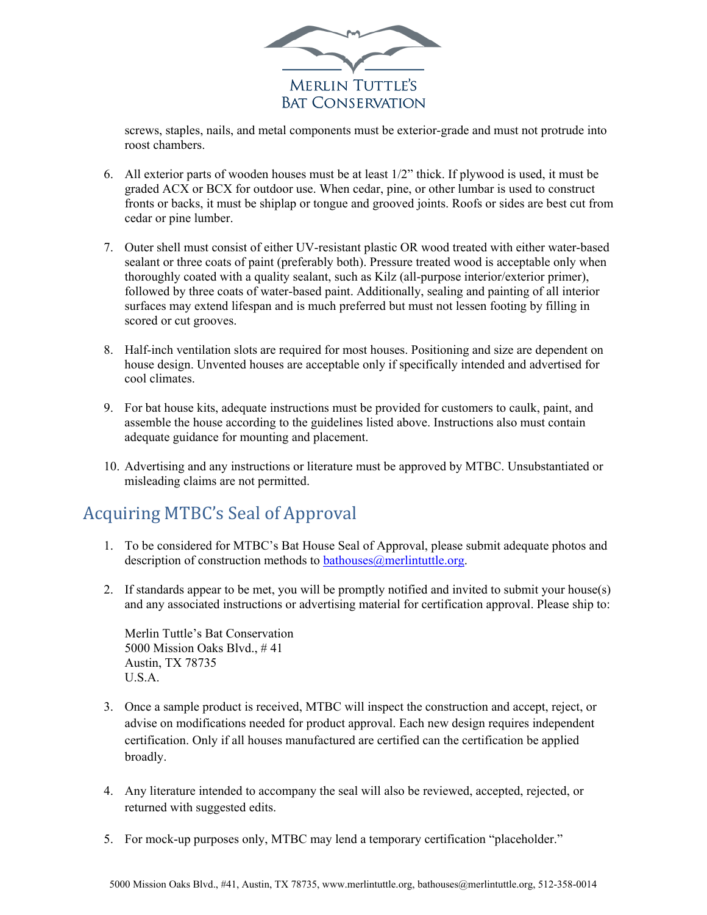

screws, staples, nails, and metal components must be exterior-grade and must not protrude into roost chambers.

- 6. All exterior parts of wooden houses must be at least 1/2" thick. If plywood is used, it must be graded ACX or BCX for outdoor use. When cedar, pine, or other lumbar is used to construct fronts or backs, it must be shiplap or tongue and grooved joints. Roofs or sides are best cut from cedar or pine lumber.
- 7. Outer shell must consist of either UV-resistant plastic OR wood treated with either water-based sealant or three coats of paint (preferably both). Pressure treated wood is acceptable only when thoroughly coated with a quality sealant, such as Kilz (all-purpose interior/exterior primer), followed by three coats of water-based paint. Additionally, sealing and painting of all interior surfaces may extend lifespan and is much preferred but must not lessen footing by filling in scored or cut grooves.
- 8. Half-inch ventilation slots are required for most houses. Positioning and size are dependent on house design. Unvented houses are acceptable only if specifically intended and advertised for cool climates.
- 9. For bat house kits, adequate instructions must be provided for customers to caulk, paint, and assemble the house according to the guidelines listed above. Instructions also must contain adequate guidance for mounting and placement.
- 10. Advertising and any instructions or literature must be approved by MTBC. Unsubstantiated or misleading claims are not permitted.

## Acquiring MTBC's Seal of Approval

- 1. To be considered for MTBC's Bat House Seal of Approval, please submit adequate photos and description of construction methods to bathouses $@$ merlintuttle.org.
- 2. If standards appear to be met, you will be promptly notified and invited to submit your house(s) and any associated instructions or advertising material for certification approval. Please ship to:

Merlin Tuttle's Bat Conservation 5000 Mission Oaks Blvd., # 41 Austin, TX 78735 U.S.A.

- 3. Once a sample product is received, MTBC will inspect the construction and accept, reject, or advise on modifications needed for product approval. Each new design requires independent certification. Only if all houses manufactured are certified can the certification be applied broadly.
- 4. Any literature intended to accompany the seal will also be reviewed, accepted, rejected, or returned with suggested edits.
- 5. For mock-up purposes only, MTBC may lend a temporary certification "placeholder."